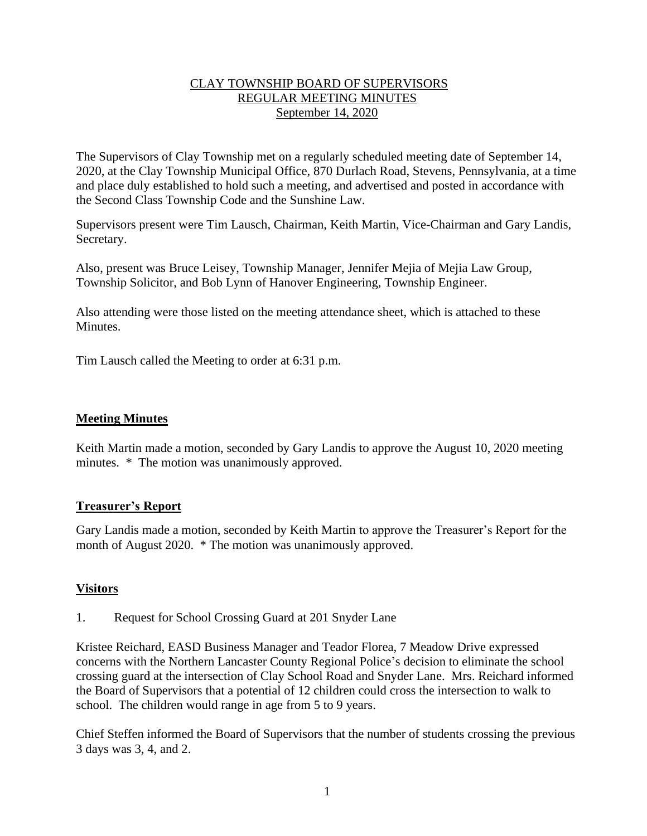### CLAY TOWNSHIP BOARD OF SUPERVISORS REGULAR MEETING MINUTES September 14, 2020

The Supervisors of Clay Township met on a regularly scheduled meeting date of September 14, 2020, at the Clay Township Municipal Office, 870 Durlach Road, Stevens, Pennsylvania, at a time and place duly established to hold such a meeting, and advertised and posted in accordance with the Second Class Township Code and the Sunshine Law.

Supervisors present were Tim Lausch, Chairman, Keith Martin, Vice-Chairman and Gary Landis, Secretary.

Also, present was Bruce Leisey, Township Manager, Jennifer Mejia of Mejia Law Group, Township Solicitor, and Bob Lynn of Hanover Engineering, Township Engineer.

Also attending were those listed on the meeting attendance sheet, which is attached to these Minutes.

Tim Lausch called the Meeting to order at 6:31 p.m.

### **Meeting Minutes**

Keith Martin made a motion, seconded by Gary Landis to approve the August 10, 2020 meeting minutes. \* The motion was unanimously approved.

### **Treasurer's Report**

Gary Landis made a motion, seconded by Keith Martin to approve the Treasurer's Report for the month of August 2020. \* The motion was unanimously approved.

### **Visitors**

1. Request for School Crossing Guard at 201 Snyder Lane

Kristee Reichard, EASD Business Manager and Teador Florea, 7 Meadow Drive expressed concerns with the Northern Lancaster County Regional Police's decision to eliminate the school crossing guard at the intersection of Clay School Road and Snyder Lane. Mrs. Reichard informed the Board of Supervisors that a potential of 12 children could cross the intersection to walk to school. The children would range in age from 5 to 9 years.

Chief Steffen informed the Board of Supervisors that the number of students crossing the previous 3 days was 3, 4, and 2.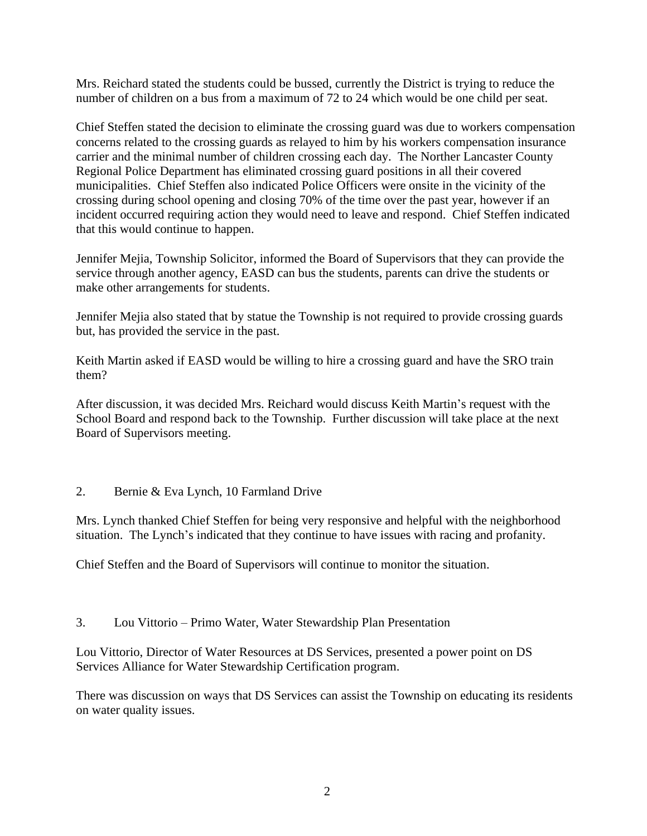Mrs. Reichard stated the students could be bussed, currently the District is trying to reduce the number of children on a bus from a maximum of 72 to 24 which would be one child per seat.

Chief Steffen stated the decision to eliminate the crossing guard was due to workers compensation concerns related to the crossing guards as relayed to him by his workers compensation insurance carrier and the minimal number of children crossing each day. The Norther Lancaster County Regional Police Department has eliminated crossing guard positions in all their covered municipalities. Chief Steffen also indicated Police Officers were onsite in the vicinity of the crossing during school opening and closing 70% of the time over the past year, however if an incident occurred requiring action they would need to leave and respond. Chief Steffen indicated that this would continue to happen.

Jennifer Mejia, Township Solicitor, informed the Board of Supervisors that they can provide the service through another agency, EASD can bus the students, parents can drive the students or make other arrangements for students.

Jennifer Mejia also stated that by statue the Township is not required to provide crossing guards but, has provided the service in the past.

Keith Martin asked if EASD would be willing to hire a crossing guard and have the SRO train them?

After discussion, it was decided Mrs. Reichard would discuss Keith Martin's request with the School Board and respond back to the Township. Further discussion will take place at the next Board of Supervisors meeting.

### 2. Bernie & Eva Lynch, 10 Farmland Drive

Mrs. Lynch thanked Chief Steffen for being very responsive and helpful with the neighborhood situation. The Lynch's indicated that they continue to have issues with racing and profanity.

Chief Steffen and the Board of Supervisors will continue to monitor the situation.

### 3. Lou Vittorio – Primo Water, Water Stewardship Plan Presentation

Lou Vittorio, Director of Water Resources at DS Services, presented a power point on DS Services Alliance for Water Stewardship Certification program.

There was discussion on ways that DS Services can assist the Township on educating its residents on water quality issues.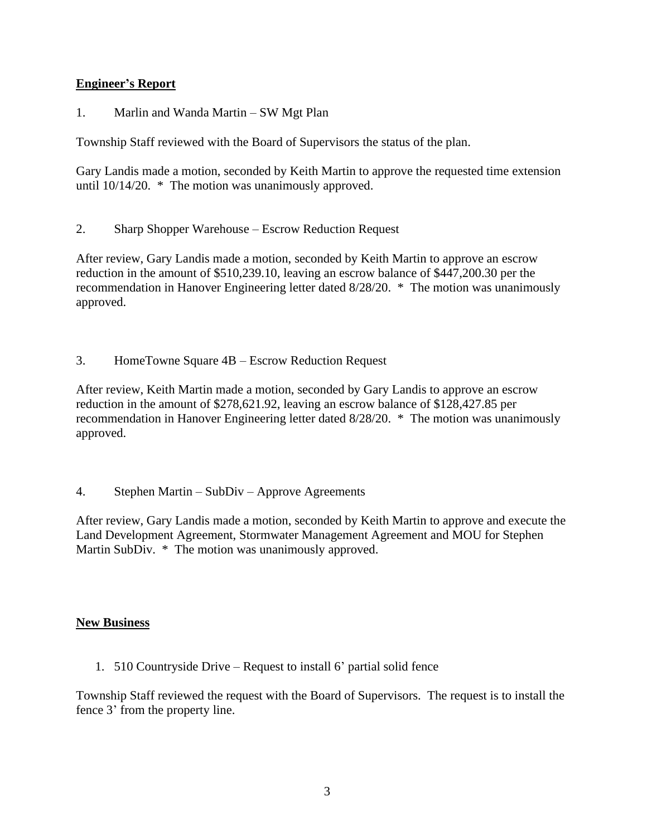## **Engineer's Report**

1. Marlin and Wanda Martin – SW Mgt Plan

Township Staff reviewed with the Board of Supervisors the status of the plan.

Gary Landis made a motion, seconded by Keith Martin to approve the requested time extension until 10/14/20. \* The motion was unanimously approved.

2. Sharp Shopper Warehouse – Escrow Reduction Request

After review, Gary Landis made a motion, seconded by Keith Martin to approve an escrow reduction in the amount of \$510,239.10, leaving an escrow balance of \$447,200.30 per the recommendation in Hanover Engineering letter dated 8/28/20. \* The motion was unanimously approved.

3. HomeTowne Square 4B – Escrow Reduction Request

After review, Keith Martin made a motion, seconded by Gary Landis to approve an escrow reduction in the amount of \$278,621.92, leaving an escrow balance of \$128,427.85 per recommendation in Hanover Engineering letter dated 8/28/20. \* The motion was unanimously approved.

4. Stephen Martin – SubDiv – Approve Agreements

After review, Gary Landis made a motion, seconded by Keith Martin to approve and execute the Land Development Agreement, Stormwater Management Agreement and MOU for Stephen Martin SubDiv. \* The motion was unanimously approved.

### **New Business**

1. 510 Countryside Drive – Request to install 6' partial solid fence

Township Staff reviewed the request with the Board of Supervisors. The request is to install the fence 3' from the property line.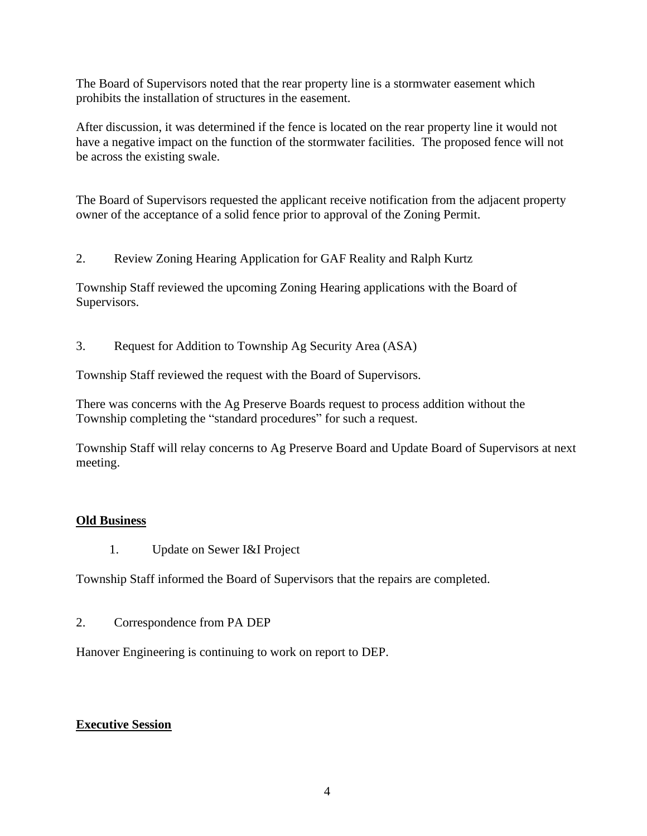The Board of Supervisors noted that the rear property line is a stormwater easement which prohibits the installation of structures in the easement.

After discussion, it was determined if the fence is located on the rear property line it would not have a negative impact on the function of the stormwater facilities. The proposed fence will not be across the existing swale.

The Board of Supervisors requested the applicant receive notification from the adjacent property owner of the acceptance of a solid fence prior to approval of the Zoning Permit.

2. Review Zoning Hearing Application for GAF Reality and Ralph Kurtz

Township Staff reviewed the upcoming Zoning Hearing applications with the Board of Supervisors.

3. Request for Addition to Township Ag Security Area (ASA)

Township Staff reviewed the request with the Board of Supervisors.

There was concerns with the Ag Preserve Boards request to process addition without the Township completing the "standard procedures" for such a request.

Township Staff will relay concerns to Ag Preserve Board and Update Board of Supervisors at next meeting.

### **Old Business**

1. Update on Sewer I&I Project

Township Staff informed the Board of Supervisors that the repairs are completed.

2. Correspondence from PA DEP

Hanover Engineering is continuing to work on report to DEP.

### **Executive Session**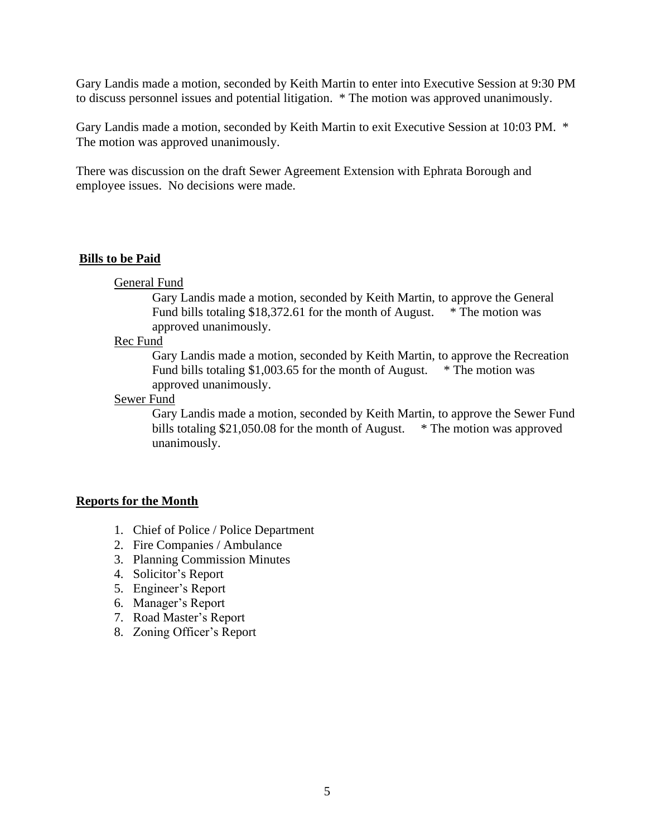Gary Landis made a motion, seconded by Keith Martin to enter into Executive Session at 9:30 PM to discuss personnel issues and potential litigation. \* The motion was approved unanimously.

Gary Landis made a motion, seconded by Keith Martin to exit Executive Session at 10:03 PM. \* The motion was approved unanimously.

There was discussion on the draft Sewer Agreement Extension with Ephrata Borough and employee issues. No decisions were made.

### **Bills to be Paid**

General Fund

Gary Landis made a motion, seconded by Keith Martin, to approve the General Fund bills totaling \$18,372.61 for the month of August. \* The motion was approved unanimously.

#### Rec Fund

Gary Landis made a motion, seconded by Keith Martin, to approve the Recreation Fund bills totaling \$1,003.65 for the month of August. \* The motion was approved unanimously.

Sewer Fund

Gary Landis made a motion, seconded by Keith Martin, to approve the Sewer Fund bills totaling \$21,050.08 for the month of August. \* The motion was approved unanimously.

### **Reports for the Month**

- 1. Chief of Police / Police Department
- 2. Fire Companies / Ambulance
- 3. Planning Commission Minutes
- 4. Solicitor's Report
- 5. Engineer's Report
- 6. Manager's Report
- 7. Road Master's Report
- 8. Zoning Officer's Report